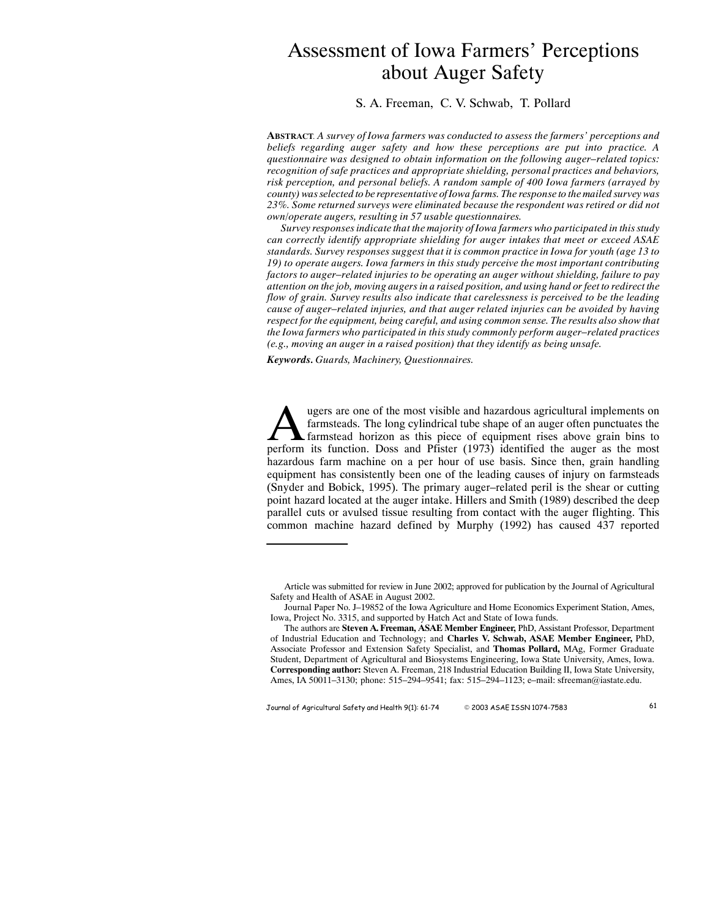# Assessment of Iowa Farmers' Perceptions about Auger Safety

S. A. Freeman, C. V. Schwab, T. Pollard

**ABSTRACT***. A survey of Iowa farmers was conducted to assess the farmers' perceptions and beliefs regarding auger safety and how these perceptions are put into practice. A questionnaire was designed to obtain information on the following auger–related topics: recognition of safe practices and appropriate shielding, personal practices and behaviors, risk perception, and personal beliefs. A random sample of 400 Iowa farmers (arrayed by county) was selected to be representative of Iowa farms. The response to the mailed survey was 23%. Some returned surveys were eliminated because the respondent was retired or did not own/operate augers, resulting in 57 usable questionnaires.*

*Survey responses indicate that the majority of Iowa farmers who participated in this study can correctly identify appropriate shielding for auger intakes that meet or exceed ASAE standards. Survey responses suggest that it is common practice in Iowa for youth (age 13 to 19) to operate augers. Iowa farmers in this study perceive the most important contributing factors to auger–related injuries to be operating an auger without shielding, failure to pay attention on the job, moving augers in a raised position, and using hand or feet to redirect the flow of grain. Survey results also indicate that carelessness is perceived to be the leading cause of auger–related injuries, and that auger related injuries can be avoided by having respect for the equipment, being careful, and using common sense. The results also show that the Iowa farmers who participated in this study commonly perform auger–related practices (e.g., moving an auger in a raised position) that they identify as being unsafe.*

*Keywords. Guards, Machinery, Questionnaires.*

ugers are one of the most visible and hazardous agricultural implements on farmsteads. The long cylindrical tube shape of an auger often punctuates the farmstead horizon as this piece of equipment rises above grain bins to **Perform its function.** Doss and Pfister (1973) identified the auger as the most perform its function. Doss and Pfister (1973) identified the auger as the most hazardous farm machine on a per hour of use basis. Since then, grain handling equipment has consistently been one of the leading causes of injury on farmsteads (Snyder and Bobick, 1995). The primary auger–related peril is the shear or cutting point hazard located at the auger intake. Hillers and Smith (1989) described the deep parallel cuts or avulsed tissue resulting from contact with the auger flighting. This common machine hazard defined by Murphy (1992) has caused 437 reported

Journal 61 of Agricultural Safety and Health 9(1): 61−74 2003 ASAE ISSN 1074−7583

Article was submitted for review in June 2002; approved for publication by the Journal of Agricultural Safety and Health of ASAE in August 2002.

Journal Paper No. J–19852 of the Iowa Agriculture and Home Economics Experiment Station, Ames, Iowa, Project No. 3315, and supported by Hatch Act and State of Iowa funds.

The authors are **Steven A. Freeman, ASAE Member Engineer,** PhD, Assistant Professor, Department of Industrial Education and Technology; and **Charles V. Schwab, ASAE Member Engineer,** PhD, Associate Professor and Extension Safety Specialist, and **Thomas Pollard,** MAg, Former Graduate Student, Department of Agricultural and Biosystems Engineering, Iowa State University, Ames, Iowa. **Corresponding author:** Steven A. Freeman, 218 Industrial Education Building II, Iowa State University, Ames, IA 50011–3130; phone: 515–294–9541; fax: 515–294–1123; e–mail: sfreeman@iastate.edu.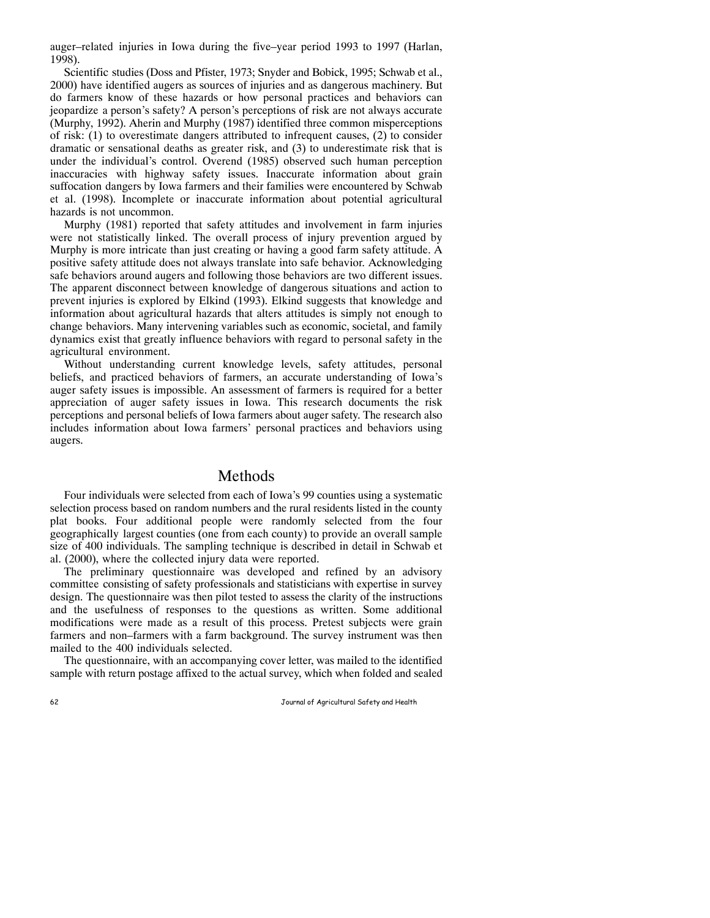auger–related injuries in Iowa during the five–year period 1993 to 1997 (Harlan, 1998).

Scientific studies (Doss and Pfister, 1973; Snyder and Bobick, 1995; Schwab et al., 2000) have identified augers as sources of injuries and as dangerous machinery. But do farmers know of these hazards or how personal practices and behaviors can jeopardize a person's safety? A person's perceptions of risk are not always accurate (Murphy, 1992). Aherin and Murphy (1987) identified three common misperceptions of risk: (1) to overestimate dangers attributed to infrequent causes, (2) to consider dramatic or sensational deaths as greater risk, and (3) to underestimate risk that is under the individual's control. Overend (1985) observed such human perception inaccuracies with highway safety issues. Inaccurate information about grain suffocation dangers by Iowa farmers and their families were encountered by Schwab et al. (1998). Incomplete or inaccurate information about potential agricultural hazards is not uncommon.

Murphy (1981) reported that safety attitudes and involvement in farm injuries were not statistically linked. The overall process of injury prevention argued by Murphy is more intricate than just creating or having a good farm safety attitude. A positive safety attitude does not always translate into safe behavior. Acknowledging safe behaviors around augers and following those behaviors are two different issues. The apparent disconnect between knowledge of dangerous situations and action to prevent injuries is explored by Elkind (1993). Elkind suggests that knowledge and information about agricultural hazards that alters attitudes is simply not enough to change behaviors. Many intervening variables such as economic, societal, and family dynamics exist that greatly influence behaviors with regard to personal safety in the agricultural environment.

Without understanding current knowledge levels, safety attitudes, personal beliefs, and practiced behaviors of farmers, an accurate understanding of Iowa's auger safety issues is impossible. An assessment of farmers is required for a better appreciation of auger safety issues in Iowa. This research documents the risk perceptions and personal beliefs of Iowa farmers about auger safety. The research also includes information about Iowa farmers' personal practices and behaviors using augers.

# Methods

Four individuals were selected from each of Iowa's 99 counties using a systematic selection process based on random numbers and the rural residents listed in the county plat books. Four additional people were randomly selected from the four geographically largest counties (one from each county) to provide an overall sample size of 400 individuals. The sampling technique is described in detail in Schwab et al. (2000), where the collected injury data were reported.

The preliminary questionnaire was developed and refined by an advisory committee consisting of safety professionals and statisticians with expertise in survey design. The questionnaire was then pilot tested to assess the clarity of the instructions and the usefulness of responses to the questions as written. Some additional modifications were made as a result of this process. Pretest subjects were grain farmers and non–farmers with a farm background. The survey instrument was then mailed to the 400 individuals selected.

The questionnaire, with an accompanying cover letter, was mailed to the identified sample with return postage affixed to the actual survey, which when folded and sealed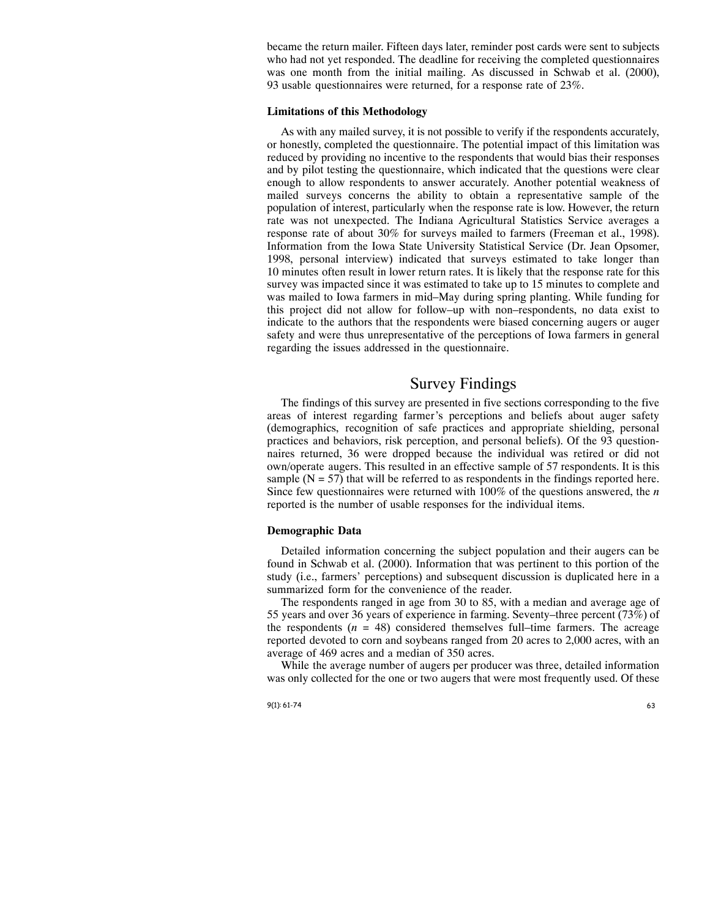became the return mailer. Fifteen days later, reminder post cards were sent to subjects who had not yet responded. The deadline for receiving the completed questionnaires was one month from the initial mailing. As discussed in Schwab et al. (2000), 93 usable questionnaires were returned, for a response rate of 23%.

#### **Limitations of this Methodology**

As with any mailed survey, it is not possible to verify if the respondents accurately, or honestly, completed the questionnaire. The potential impact of this limitation was reduced by providing no incentive to the respondents that would bias their responses and by pilot testing the questionnaire, which indicated that the questions were clear enough to allow respondents to answer accurately. Another potential weakness of mailed surveys concerns the ability to obtain a representative sample of the population of interest, particularly when the response rate is low. However, the return rate was not unexpected. The Indiana Agricultural Statistics Service averages a response rate of about 30% for surveys mailed to farmers (Freeman et al., 1998). Information from the Iowa State University Statistical Service (Dr. Jean Opsomer, 1998, personal interview) indicated that surveys estimated to take longer than 10 minutes often result in lower return rates. It is likely that the response rate for this survey was impacted since it was estimated to take up to 15 minutes to complete and was mailed to Iowa farmers in mid–May during spring planting. While funding for this project did not allow for follow–up with non–respondents, no data exist to indicate to the authors that the respondents were biased concerning augers or auger safety and were thus unrepresentative of the perceptions of Iowa farmers in general regarding the issues addressed in the questionnaire.

## Survey Findings

The findings of this survey are presented in five sections corresponding to the five areas of interest regarding farmer's perceptions and beliefs about auger safety (demographics, recognition of safe practices and appropriate shielding, personal practices and behaviors, risk perception, and personal beliefs). Of the 93 questionnaires returned, 36 were dropped because the individual was retired or did not own/operate augers. This resulted in an effective sample of 57 respondents. It is this sample  $(N = 57)$  that will be referred to as respondents in the findings reported here. Since few questionnaires were returned with 100% of the questions answered, the *n* reported is the number of usable responses for the individual items.

#### **Demographic Data**

Detailed information concerning the subject population and their augers can be found in Schwab et al. (2000). Information that was pertinent to this portion of the study (i.e., farmers' perceptions) and subsequent discussion is duplicated here in a summarized form for the convenience of the reader.

The respondents ranged in age from 30 to 85, with a median and average age of 55 years and over 36 years of experience in farming. Seventy–three percent (73%) of the respondents  $(n = 48)$  considered themselves full–time farmers. The acreage reported devoted to corn and soybeans ranged from 20 acres to 2,000 acres, with an average of 469 acres and a median of 350 acres.

While the average number of augers per producer was three, detailed information was only collected for the one or two augers that were most frequently used. Of these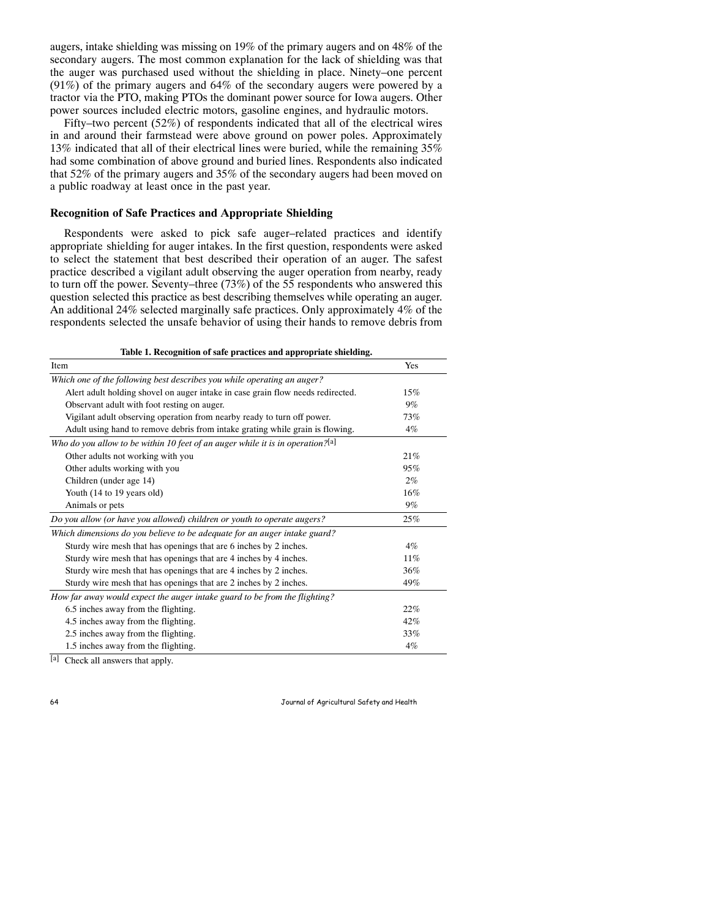augers, intake shielding was missing on 19% of the primary augers and on 48% of the secondary augers. The most common explanation for the lack of shielding was that the auger was purchased used without the shielding in place. Ninety–one percent (91%) of the primary augers and 64% of the secondary augers were powered by a tractor via the PTO, making PTOs the dominant power source for Iowa augers. Other power sources included electric motors, gasoline engines, and hydraulic motors.

Fifty–two percent (52%) of respondents indicated that all of the electrical wires in and around their farmstead were above ground on power poles. Approximately 13% indicated that all of their electrical lines were buried, while the remaining 35% had some combination of above ground and buried lines. Respondents also indicated that 52% of the primary augers and 35% of the secondary augers had been moved on a public roadway at least once in the past year.

### **Recognition of Safe Practices and Appropriate Shielding**

Respondents were asked to pick safe auger–related practices and identify appropriate shielding for auger intakes. In the first question, respondents were asked to select the statement that best described their operation of an auger. The safest practice described a vigilant adult observing the auger operation from nearby, ready to turn off the power. Seventy–three (73%) of the 55 respondents who answered this question selected this practice as best describing themselves while operating an auger. An additional 24% selected marginally safe practices. Only approximately 4% of the respondents selected the unsafe behavior of using their hands to remove debris from

| Table 1. Recognition of safe practices and appropriate shielding. |  |  |  |
|-------------------------------------------------------------------|--|--|--|
|                                                                   |  |  |  |

| Item                                                                                                                                                                                                                          | Yes   |
|-------------------------------------------------------------------------------------------------------------------------------------------------------------------------------------------------------------------------------|-------|
| Which one of the following best describes you while operating an auger?                                                                                                                                                       |       |
| Alert adult holding shovel on auger intake in case grain flow needs redirected.                                                                                                                                               | 15%   |
| Observant adult with foot resting on auger.                                                                                                                                                                                   | 9%    |
| Vigilant adult observing operation from nearby ready to turn off power.                                                                                                                                                       | 73%   |
| Adult using hand to remove debris from intake grating while grain is flowing.                                                                                                                                                 | 4%    |
| Who do you allow to be within 10 feet of an auger while it is in operation?[a]                                                                                                                                                |       |
| Other adults not working with you                                                                                                                                                                                             | 21%   |
| Other adults working with you                                                                                                                                                                                                 | 95%   |
| Children (under age 14)                                                                                                                                                                                                       | $2\%$ |
| Youth (14 to 19 years old)                                                                                                                                                                                                    | 16%   |
| Animals or pets                                                                                                                                                                                                               | $9\%$ |
| Do you allow (or have you allowed) children or youth to operate augers?                                                                                                                                                       | 25%   |
| Which dimensions do you believe to be adequate for an auger intake guard?                                                                                                                                                     |       |
| Sturdy wire mesh that has openings that are 6 inches by 2 inches.                                                                                                                                                             | 4%    |
| Sturdy wire mesh that has openings that are 4 inches by 4 inches.                                                                                                                                                             | 11%   |
| Sturdy wire mesh that has openings that are 4 inches by 2 inches.                                                                                                                                                             | 36%   |
| Sturdy wire mesh that has openings that are 2 inches by 2 inches.                                                                                                                                                             | 49%   |
| How far away would expect the auger intake guard to be from the flighting?                                                                                                                                                    |       |
| 6.5 inches away from the flighting.                                                                                                                                                                                           | 22%   |
| 4.5 inches away from the flighting.                                                                                                                                                                                           | 42%   |
| 2.5 inches away from the flighting.                                                                                                                                                                                           | 33%   |
| 1.5 inches away from the flighting.                                                                                                                                                                                           | 4%    |
| following and the state of the state of the state of the state of the state of the state of the state of the state of the state of the state of the state of the state of the state of the state of the state of the state of |       |

[a] Check all answers that apply.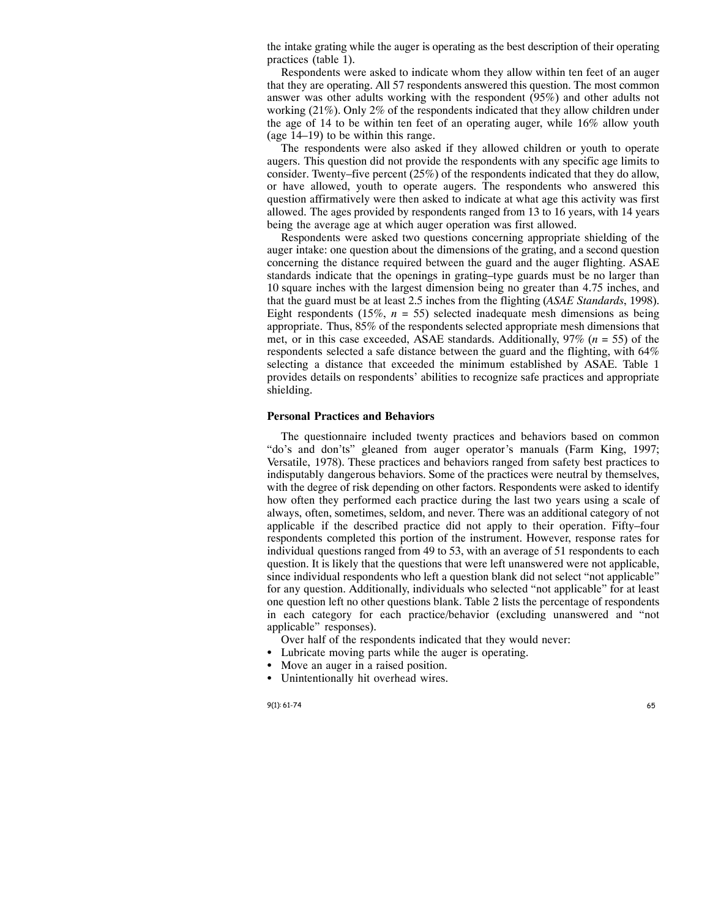the intake grating while the auger is operating as the best description of their operating practices (table 1).

Respondents were asked to indicate whom they allow within ten feet of an auger that they are operating. All 57 respondents answered this question. The most common answer was other adults working with the respondent (95%) and other adults not working (21%). Only 2% of the respondents indicated that they allow children under the age of 14 to be within ten feet of an operating auger, while 16% allow youth (age 14–19) to be within this range.

The respondents were also asked if they allowed children or youth to operate augers. This question did not provide the respondents with any specific age limits to consider. Twenty–five percent (25%) of the respondents indicated that they do allow, or have allowed, youth to operate augers. The respondents who answered this question affirmatively were then asked to indicate at what age this activity was first allowed. The ages provided by respondents ranged from 13 to 16 years, with 14 years being the average age at which auger operation was first allowed.

Respondents were asked two questions concerning appropriate shielding of the auger intake: one question about the dimensions of the grating, and a second question concerning the distance required between the guard and the auger flighting. ASAE standards indicate that the openings in grating–type guards must be no larger than 10 square inches with the largest dimension being no greater than 4.75 inches, and that the guard must be at least 2.5 inches from the flighting (*ASAE Standards*, 1998). Eight respondents  $(15\%, n = 55)$  selected inadequate mesh dimensions as being appropriate. Thus, 85% of the respondents selected appropriate mesh dimensions that met, or in this case exceeded, ASAE standards. Additionally, 97% (*n* = 55) of the respondents selected a safe distance between the guard and the flighting, with 64% selecting a distance that exceeded the minimum established by ASAE. Table 1 provides details on respondents' abilities to recognize safe practices and appropriate shielding.

### **Personal Practices and Behaviors**

The questionnaire included twenty practices and behaviors based on common "do's and don'ts" gleaned from auger operator's manuals (Farm King, 1997; Versatile, 1978). These practices and behaviors ranged from safety best practices to indisputably dangerous behaviors. Some of the practices were neutral by themselves, with the degree of risk depending on other factors. Respondents were asked to identify how often they performed each practice during the last two years using a scale of always, often, sometimes, seldom, and never. There was an additional category of not applicable if the described practice did not apply to their operation. Fifty–four respondents completed this portion of the instrument. However, response rates for individual questions ranged from 49 to 53, with an average of 51 respondents to each question. It is likely that the questions that were left unanswered were not applicable, since individual respondents who left a question blank did not select "not applicable" for any question. Additionally, individuals who selected "not applicable" for at least one question left no other questions blank. Table 2 lists the percentage of respondents in each category for each practice/behavior (excluding unanswered and "not applicable" responses).

Over half of the respondents indicated that they would never:

- Lubricate moving parts while the auger is operating.
- Move an auger in a raised position.
- Unintentionally hit overhead wires.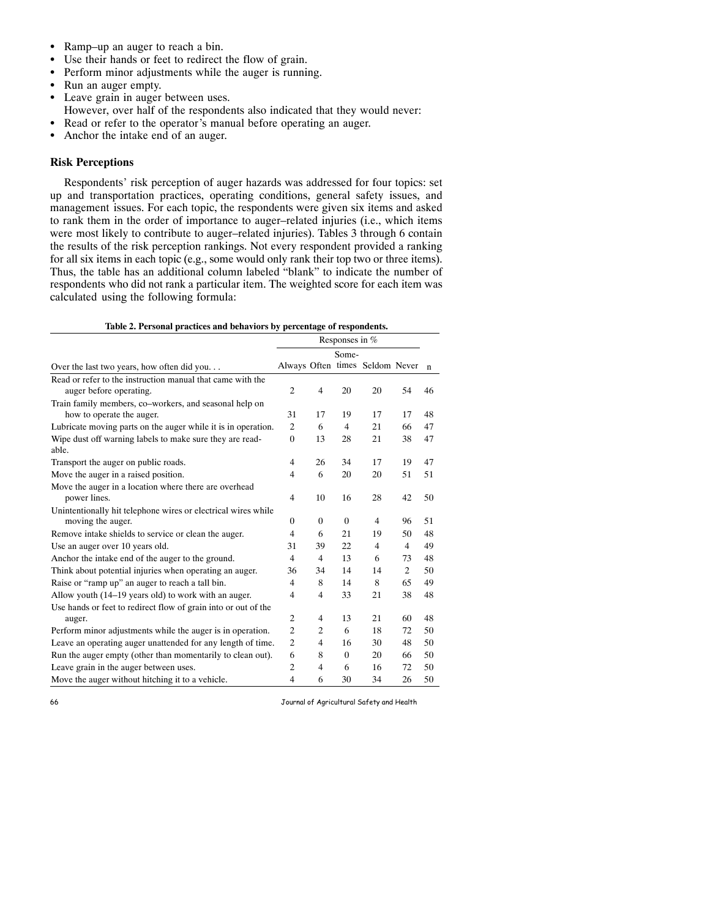- Ramp–up an auger to reach a bin.
- Use their hands or feet to redirect the flow of grain.
- Perform minor adjustments while the auger is running.
- Run an auger empty.
- $\bullet$ Leave grain in auger between uses.
- However, over half of the respondents also indicated that they would never:
- Read or refer to the operator's manual before operating an auger.
- Anchor the intake end of an auger.

### **Risk Perceptions**

Respondents' risk perception of auger hazards was addressed for four topics: set up and transportation practices, operating conditions, general safety issues, and management issues. For each topic, the respondents were given six items and asked to rank them in the order of importance to auger–related injuries (i.e., which items were most likely to contribute to auger–related injuries). Tables 3 through 6 contain the results of the risk perception rankings. Not every respondent provided a ranking for all six items in each topic (e.g., some would only rank their top two or three items). Thus, the table has an additional column labeled "blank" to indicate the number of respondents who did not rank a particular item. The weighted score for each item was calculated using the following formula:

| Table 2. Personal practices and behaviors by percentage of respondents. |  |  |
|-------------------------------------------------------------------------|--|--|
|-------------------------------------------------------------------------|--|--|

|                                                                | Responses in %   |                |              |                                 |                |    |
|----------------------------------------------------------------|------------------|----------------|--------------|---------------------------------|----------------|----|
|                                                                |                  |                | Some-        |                                 |                |    |
| Over the last two years, how often did you                     |                  |                |              | Always Often times Seldom Never |                | n  |
| Read or refer to the instruction manual that came with the     |                  |                |              |                                 |                |    |
| auger before operating.                                        | 2                | 4              | 20           | 20                              | 54             | 46 |
| Train family members, co-workers, and seasonal help on         |                  |                |              |                                 |                |    |
| how to operate the auger.                                      | 31               | 17             | 19           | 17                              | 17             | 48 |
| Lubricate moving parts on the auger while it is in operation.  | $\overline{c}$   | 6              | 4            | 21                              | 66             | 47 |
| Wipe dust off warning labels to make sure they are read-       | $\bf{0}$         | 13             | 28           | 21                              | 38             | 47 |
| able.                                                          |                  |                |              |                                 |                |    |
| Transport the auger on public roads.                           | 4                | 26             | 34           | 17                              | 19             | 47 |
| Move the auger in a raised position.                           | $\overline{4}$   | 6              | 20           | 20                              | 51             | 51 |
| Move the auger in a location where there are overhead          |                  |                |              |                                 |                |    |
| power lines.                                                   | $\overline{4}$   | 10             | 16           | 28                              | 42             | 50 |
| Unintentionally hit telephone wires or electrical wires while  |                  |                |              |                                 |                |    |
| moving the auger.                                              | $\boldsymbol{0}$ | $\mathbf{0}$   | $\mathbf{0}$ | $\overline{4}$                  | 96             | 51 |
| Remove intake shields to service or clean the auger.           | $\overline{4}$   | 6              | 21           | 19                              | 50             | 48 |
| Use an auger over 10 years old.                                | 31               | 39             | 22           | $\overline{4}$                  | $\overline{4}$ | 49 |
| Anchor the intake end of the auger to the ground.              | $\overline{4}$   | $\overline{4}$ | 13           | 6                               | 73             | 48 |
| Think about potential injuries when operating an auger.        | 36               | 34             | 14           | 14                              | 2              | 50 |
| Raise or "ramp up" an auger to reach a tall bin.               | $\overline{4}$   | 8              | 14           | 8                               | 65             | 49 |
| Allow youth (14-19 years old) to work with an auger.           | $\overline{4}$   | $\overline{4}$ | 33           | 21                              | 38             | 48 |
| Use hands or feet to redirect flow of grain into or out of the |                  |                |              |                                 |                |    |
| auger.                                                         | $\overline{c}$   | $\overline{4}$ | 13           | 21                              | 60             | 48 |
| Perform minor adjustments while the auger is in operation.     | $\mathfrak{2}$   | $\overline{c}$ | 6            | 18                              | 72             | 50 |
| Leave an operating auger unattended for any length of time.    | $\overline{c}$   | $\overline{4}$ | 16           | 30                              | 48             | 50 |
| Run the auger empty (other than momentarily to clean out).     | 6                | 8              | $\mathbf{0}$ | 20                              | 66             | 50 |
| Leave grain in the auger between uses.                         | $\overline{c}$   | $\overline{4}$ | 6            | 16                              | 72             | 50 |
| Move the auger without hitching it to a vehicle.               | $\overline{4}$   | 6              | 30           | 34                              | 26             | 50 |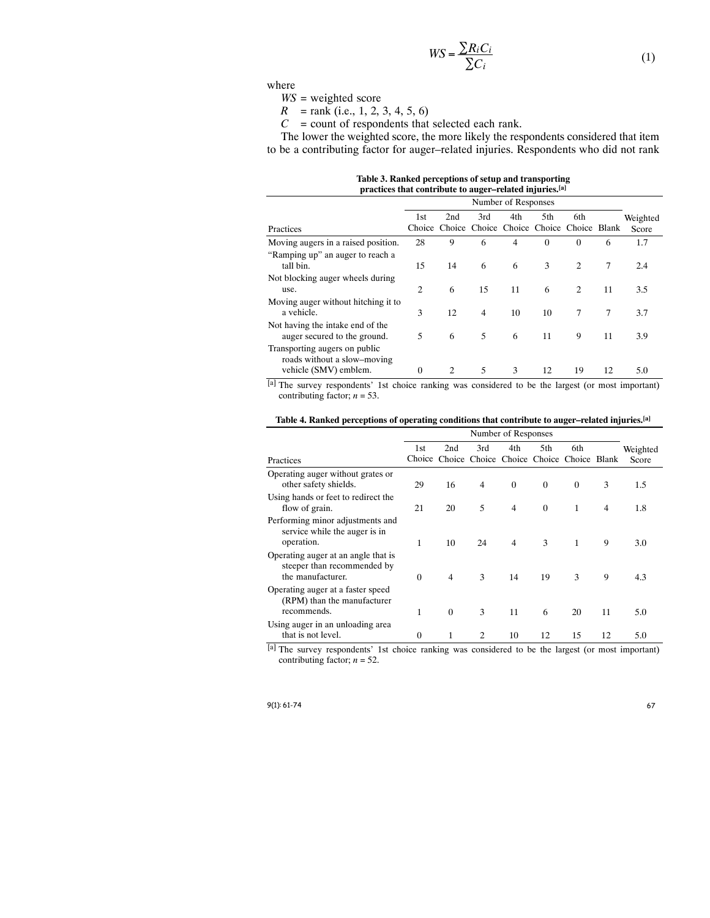$$
WS = \frac{\sum R_i C_i}{\sum C_i} \tag{1}
$$

where

*WS* = weighted score

 $R$  = rank (i.e., 1, 2, 3, 4, 5, 6)

 $C =$  count of respondents that selected each rank.

The lower the weighted score, the more likely the respondents considered that item to be a contributing factor for auger–related injuries. Respondents who did not rank

| Table 3. Ranked perceptions of setup and transporting               |  |
|---------------------------------------------------------------------|--|
| practices that contribute to auger-related injuries. <sup>[a]</sup> |  |

|     | Number of Responses |                |             |          |          |    |                                         |
|-----|---------------------|----------------|-------------|----------|----------|----|-----------------------------------------|
| 1st | 2nd                 | 3rd            | 4th         | 5th      | 6th      |    | Weighted<br>Score                       |
| 28  | 9                   | 6              | 4           | $\Omega$ | $\Omega$ | 6  | 1.7                                     |
| 15  | 14                  | 6              | 6           | 3        | 2        | 7  | 2.4                                     |
| 2   | 6                   | 15             | 11          | 6        | 2        | 11 | 3.5                                     |
| 3   | 12                  | $\overline{4}$ | 10          | 10       | 7        | 7  | 3.7                                     |
| 5   | 6                   | 5              | 6           | 11       | 9        | 11 | 3.9                                     |
|     |                     |                |             |          |          |    | 5.0                                     |
|     | $\Omega$            | Choice<br>2    | Choice<br>5 | 3        | 12       | 19 | Choice Choice Choice Choice Blank<br>12 |

[a] The survey respondents' 1st choice ranking was considered to be the largest (or most important) contributing factor;  $n = 53$ .

|  |  | Table 4. Ranked perceptions of operating conditions that contribute to auger-related injuries. [a] |
|--|--|----------------------------------------------------------------------------------------------------|
|  |  |                                                                                                    |

|                                                                                         | Number of Responses |                |                |                |                                   |              |    |          |
|-----------------------------------------------------------------------------------------|---------------------|----------------|----------------|----------------|-----------------------------------|--------------|----|----------|
|                                                                                         | 1st                 | 2nd            | 3rd            | 4th            | 5th                               | 6th          |    | Weighted |
| Practices                                                                               | Choice              | Choice         |                |                | Choice Choice Choice Choice Blank |              |    | Score    |
| Operating auger without grates or<br>other safety shields.                              | 29                  | 16             | $\overline{4}$ | $\theta$       | $\Omega$                          | $\mathbf{0}$ | 3  | 1.5      |
| Using hands or feet to redirect the<br>flow of grain.                                   | 21                  | 20             | 5              | 4              | $\Omega$                          | 1            | 4  | 1.8      |
| Performing minor adjustments and<br>service while the auger is in<br>operation.         | 1                   | 10             | 24             | $\overline{4}$ | 3                                 | $\mathbf{1}$ | 9  | 3.0      |
| Operating auger at an angle that is<br>steeper than recommended by<br>the manufacturer. | $\Omega$            | $\overline{4}$ | 3              | 14             | 19                                | 3            | 9  | 4.3      |
| Operating auger at a faster speed<br>(RPM) than the manufacturer<br>recommends.         | 1                   | $\bf{0}$       | 3              | 11             | 6                                 | 20           | 11 | 5.0      |
| Using auger in an unloading area<br>that is not level.<br>. .                           | 0                   | 1              | 2              | 10             | 12                                | 15           | 12 | 5.0      |

[a] The survey respondents' 1st choice ranking was considered to be the largest (or most important) contributing factor;  $n = 52$ .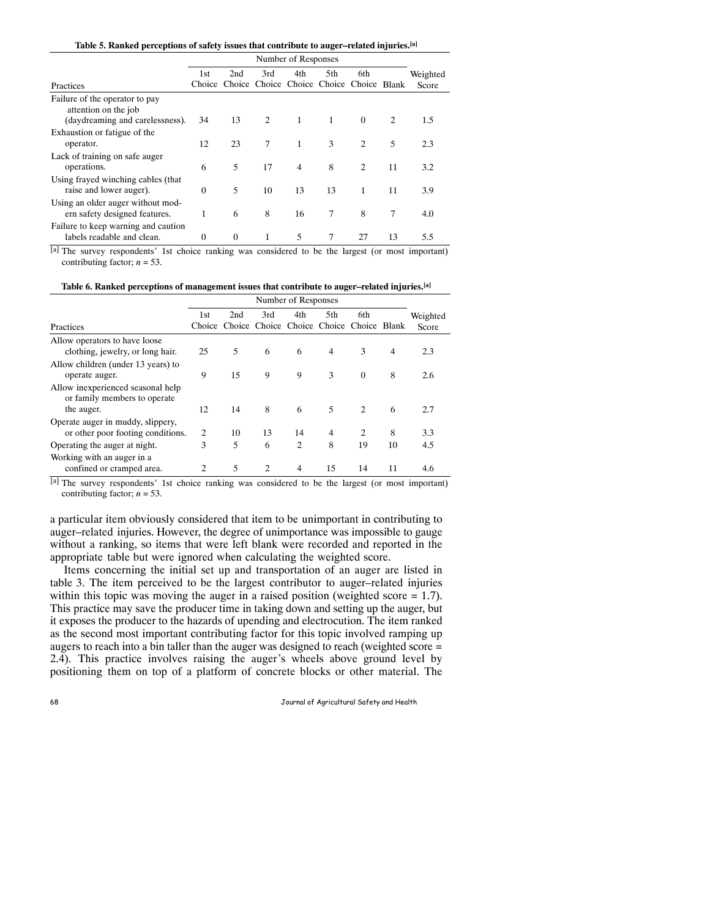**Table 5. Ranked perceptions of safety issues that contribute to auger–related injuries.[a]**

|                                                                                           |          | Number of Responses |                                          |                |              |               |    |          |
|-------------------------------------------------------------------------------------------|----------|---------------------|------------------------------------------|----------------|--------------|---------------|----|----------|
|                                                                                           | 1st      | 2nd                 | 3rd                                      | 4th            | 5th          | 6th           |    | Weighted |
| Practices                                                                                 | Choice   |                     | Choice Choice Choice Choice Choice Blank |                |              |               |    | Score    |
| Failure of the operator to pay<br>attention on the job<br>(daydreaming and carelessness). | 34       | 13                  | 2                                        | $\mathbf{1}$   | $\mathbf{1}$ | $\Omega$      | 2  | 1.5      |
| Exhaustion or fatigue of the<br>operator.                                                 | 12       | 23                  | 7                                        | $\mathbf{1}$   | 3            | 2             | 5  | 2.3      |
| Lack of training on safe auger<br>operations.                                             | 6        | 5                   | 17                                       | $\overline{4}$ | 8            | $\mathcal{L}$ | 11 | 3.2      |
| Using frayed winching cables (that<br>raise and lower auger).                             | $\Omega$ | 5                   | 10                                       | 13             | 13           | 1             | 11 | 3.9      |
| Using an older auger without mod-<br>ern safety designed features.                        | 1        | 6                   | 8                                        | 16             | 7            | 8             | 7  | 4.0      |
| Failure to keep warning and caution<br>labels readable and clean.                         | $\Omega$ | $\Omega$            | 1                                        | 5              | 7            | 27            | 13 | 5.5      |

[a] The survey respondents' 1st choice ranking was considered to be the largest (or most important) contributing factor; *n* = 53.

|  | Table 6. Ranked perceptions of management issues that contribute to auger-related injuries. <sup>[a]</sup> |
|--|------------------------------------------------------------------------------------------------------------|
|  |                                                                                                            |

| Number of Responses                                                             |                             |     |                                                 |                |     |               |    |                   |
|---------------------------------------------------------------------------------|-----------------------------|-----|-------------------------------------------------|----------------|-----|---------------|----|-------------------|
| Practices                                                                       | 1st<br>Choice               | 2nd | 3rd<br>Choice Choice Choice Choice Choice Blank | 4th            | 5th | 6th           |    | Weighted<br>Score |
| Allow operators to have loose<br>clothing, jewelry, or long hair.               | 25                          | 5   | 6                                               | 6              | 4   | 3             | 4  | 2.3               |
| Allow children (under 13 years) to<br>operate auger.                            | 9                           | 15  | 9                                               | 9              | 3   | $\Omega$      | 8  | 2.6               |
| Allow inexperienced seasonal help<br>or family members to operate<br>the auger. | 12                          | 14  | 8                                               | 6              | 5   | $\mathcal{L}$ | 6  | 2.7               |
| Operate auger in muddy, slippery,<br>or other poor footing conditions.          | $\mathcal{D}_{\mathcal{L}}$ | 10  | 13                                              | 14             | 4   | 2             | 8  | 3.3               |
| Operating the auger at night.                                                   | 3                           | 5   | 6                                               | $\overline{c}$ | 8   | 19            | 10 | 4.5               |
| Working with an auger in a<br>confined or cramped area.                         |                             | 5   | 2                                               | 4              | 15  | 14            | 11 | 4.6               |

[a] The survey respondents' 1st choice ranking was considered to be the largest (or most important) contributing factor;  $n = 53$ .

a particular item obviously considered that item to be unimportant in contributing to auger–related injuries. However, the degree of unimportance was impossible to gauge without a ranking, so items that were left blank were recorded and reported in the appropriate table but were ignored when calculating the weighted score.

Items concerning the initial set up and transportation of an auger are listed in table 3. The item perceived to be the largest contributor to auger–related injuries within this topic was moving the auger in a raised position (weighted score  $= 1.7$ ). This practice may save the producer time in taking down and setting up the auger, but it exposes the producer to the hazards of upending and electrocution. The item ranked as the second most important contributing factor for this topic involved ramping up augers to reach into a bin taller than the auger was designed to reach (weighted score = 2.4). This practice involves raising the auger's wheels above ground level by positioning them on top of a platform of concrete blocks or other material. The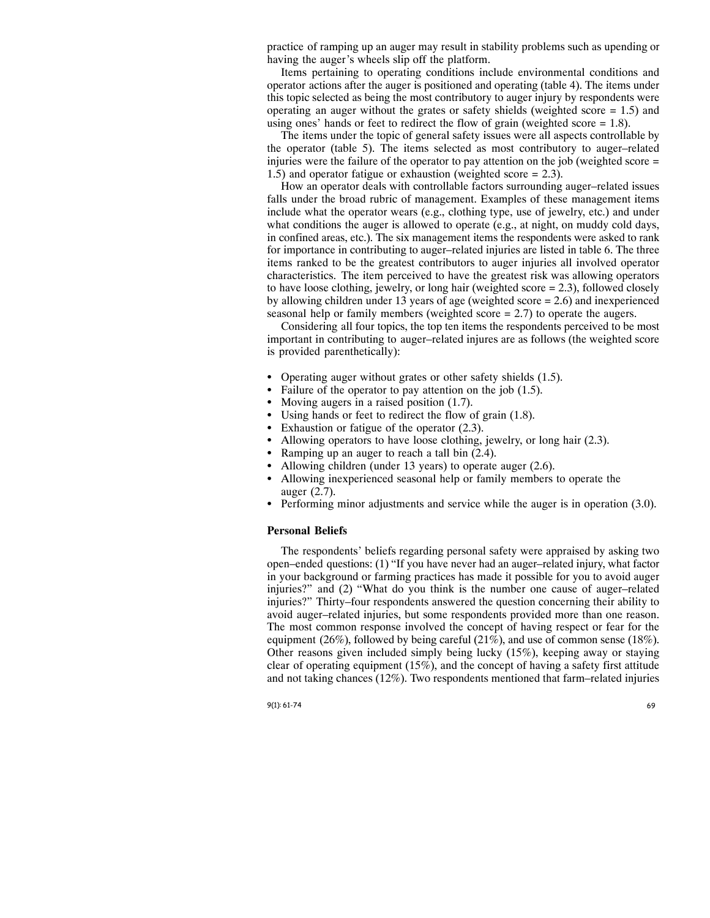practice of ramping up an auger may result in stability problems such as upending or having the auger's wheels slip off the platform.

Items pertaining to operating conditions include environmental conditions and operator actions after the auger is positioned and operating (table 4). The items under this topic selected as being the most contributory to auger injury by respondents were operating an auger without the grates or safety shields (weighted score  $= 1.5$ ) and using ones' hands or feet to redirect the flow of grain (weighted score = 1.8).

The items under the topic of general safety issues were all aspects controllable by the operator (table 5). The items selected as most contributory to auger–related injuries were the failure of the operator to pay attention on the job (weighted score = 1.5) and operator fatigue or exhaustion (weighted score = 2.3).

How an operator deals with controllable factors surrounding auger–related issues falls under the broad rubric of management. Examples of these management items include what the operator wears (e.g., clothing type, use of jewelry, etc.) and under what conditions the auger is allowed to operate (e.g., at night, on muddy cold days, in confined areas, etc.). The six management items the respondents were asked to rank for importance in contributing to auger–related injuries are listed in table 6. The three items ranked to be the greatest contributors to auger injuries all involved operator characteristics. The item perceived to have the greatest risk was allowing operators to have loose clothing, jewelry, or long hair (weighted score = 2.3), followed closely by allowing children under 13 years of age (weighted score = 2.6) and inexperienced seasonal help or family members (weighted score = 2.7) to operate the augers.

Considering all four topics, the top ten items the respondents perceived to be most important in contributing to auger–related injures are as follows (the weighted score is provided parenthetically):

- Operating auger without grates or other safety shields (1.5).
- $\bullet$  Failure of the operator to pay attention on the job (1.5).
- -Moving augers in a raised position (1.7).
- -Using hands or feet to redirect the flow of grain (1.8).
- -Exhaustion or fatigue of the operator (2.3).
- -Allowing operators to have loose clothing, jewelry, or long hair (2.3).
- $\bullet$ Ramping up an auger to reach a tall bin (2.4).
- Allowing children (under 13 years) to operate auger (2.6).
- Allowing inexperienced seasonal help or family members to operate the auger (2.7).
- Performing minor adjustments and service while the auger is in operation (3.0).

#### **Personal Beliefs**

The respondents' beliefs regarding personal safety were appraised by asking two open–ended questions: (1) "If you have never had an auger–related injury, what factor in your background or farming practices has made it possible for you to avoid auger injuries?" and (2) "What do you think is the number one cause of auger–related injuries?" Thirty–four respondents answered the question concerning their ability to avoid auger–related injuries, but some respondents provided more than one reason. The most common response involved the concept of having respect or fear for the equipment (26%), followed by being careful (21%), and use of common sense (18%). Other reasons given included simply being lucky (15%), keeping away or staying clear of operating equipment (15%), and the concept of having a safety first attitude and not taking chances (12%). Two respondents mentioned that farm–related injuries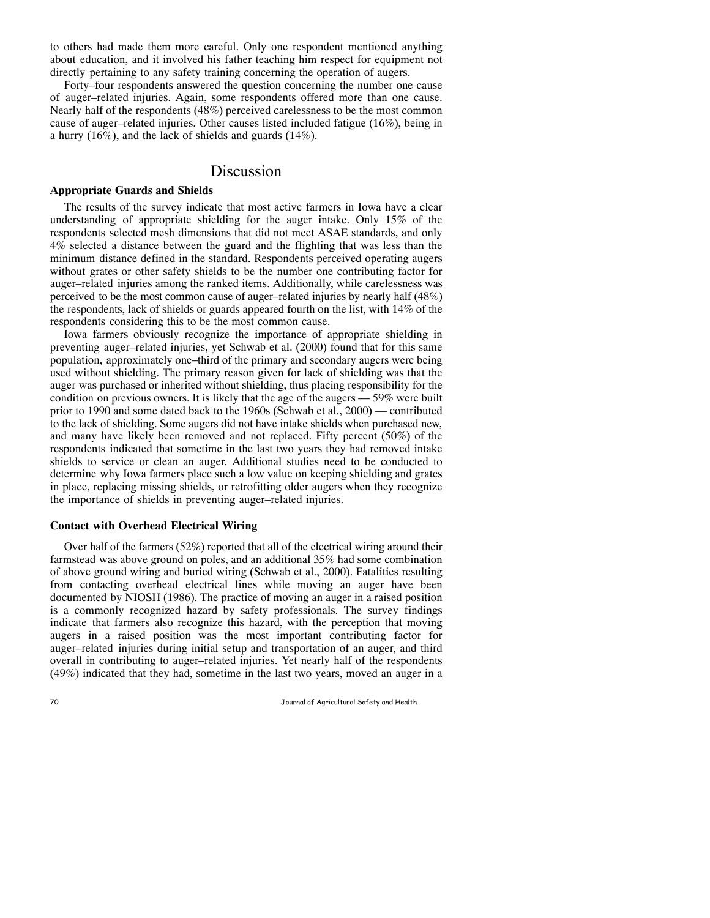to others had made them more careful. Only one respondent mentioned anything about education, and it involved his father teaching him respect for equipment not directly pertaining to any safety training concerning the operation of augers.

Forty–four respondents answered the question concerning the number one cause of auger–related injuries. Again, some respondents offered more than one cause. Nearly half of the respondents (48%) perceived carelessness to be the most common cause of auger–related injuries. Other causes listed included fatigue (16%), being in a hurry (16%), and the lack of shields and guards (14%).

# Discussion

### **Appropriate Guards and Shields**

The results of the survey indicate that most active farmers in Iowa have a clear understanding of appropriate shielding for the auger intake. Only 15% of the respondents selected mesh dimensions that did not meet ASAE standards, and only 4% selected a distance between the guard and the flighting that was less than the minimum distance defined in the standard. Respondents perceived operating augers without grates or other safety shields to be the number one contributing factor for auger–related injuries among the ranked items. Additionally, while carelessness was perceived to be the most common cause of auger–related injuries by nearly half (48%) the respondents, lack of shields or guards appeared fourth on the list, with 14% of the respondents considering this to be the most common cause.

Iowa farmers obviously recognize the importance of appropriate shielding in preventing auger–related injuries, yet Schwab et al. (2000) found that for this same population, approximately one–third of the primary and secondary augers were being used without shielding. The primary reason given for lack of shielding was that the auger was purchased or inherited without shielding, thus placing responsibility for the condition on previous owners. It is likely that the age of the augers  $-59\%$  were built prior to 1990 and some dated back to the 1960s (Schwab et al., 2000) –– contributed to the lack of shielding. Some augers did not have intake shields when purchased new, and many have likely been removed and not replaced. Fifty percent (50%) of the respondents indicated that sometime in the last two years they had removed intake shields to service or clean an auger. Additional studies need to be conducted to determine why Iowa farmers place such a low value on keeping shielding and grates in place, replacing missing shields, or retrofitting older augers when they recognize the importance of shields in preventing auger–related injuries.

### **Contact with Overhead Electrical Wiring**

Over half of the farmers (52%) reported that all of the electrical wiring around their farmstead was above ground on poles, and an additional 35% had some combination of above ground wiring and buried wiring (Schwab et al., 2000). Fatalities resulting from contacting overhead electrical lines while moving an auger have been documented by NIOSH (1986). The practice of moving an auger in a raised position is a commonly recognized hazard by safety professionals. The survey findings indicate that farmers also recognize this hazard, with the perception that moving augers in a raised position was the most important contributing factor for auger–related injuries during initial setup and transportation of an auger, and third overall in contributing to auger–related injuries. Yet nearly half of the respondents (49%) indicated that they had, sometime in the last two years, moved an auger in a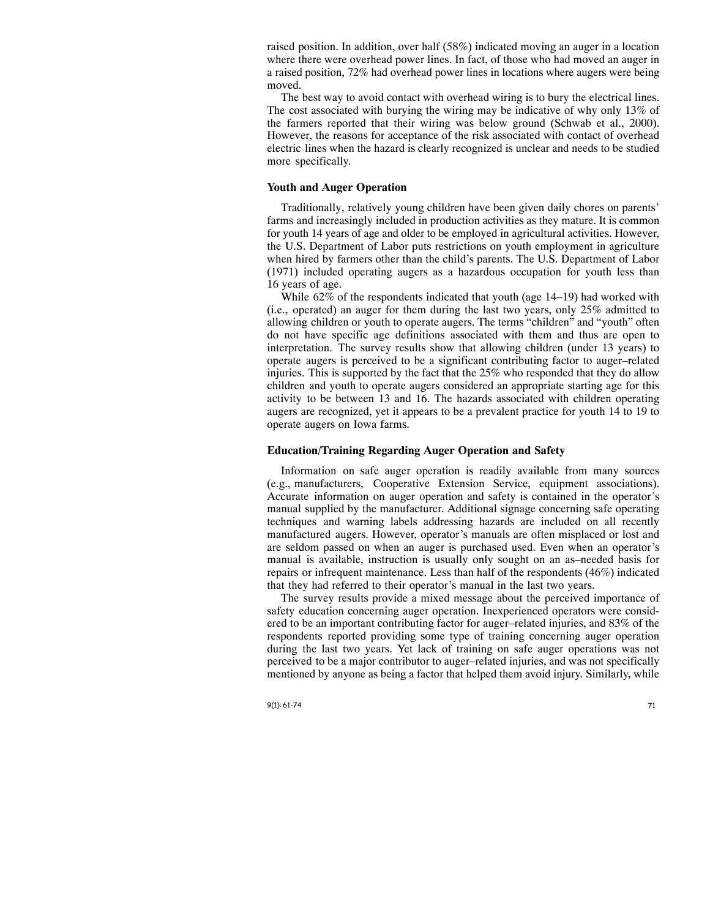raised position. In addition, over half (58%) indicated moving an auger in a location where there were overhead power lines. In fact, of those who had moved an auger in a raised position, 72% had overhead power lines in locations where augers were being moved.

The best way to avoid contact with overhead wiring is to bury the electrical lines. The cost associated with burying the wiring may be indicative of why only 13% of the farmers reported that their wiring was below ground (Schwab et al., 2000). However, the reasons for acceptance of the risk associated with contact of overhead electric lines when the hazard is clearly recognized is unclear and needs to be studied more specifically.

### **Youth and Auger Operation**

Traditionally, relatively young children have been given daily chores on parents' farms and increasingly included in production activities as they mature. It is common for youth 14 years of age and older to be employed in agricultural activities. However, the U.S. Department of Labor puts restrictions on youth employment in agriculture when hired by farmers other than the child's parents. The U.S. Department of Labor (1971) included operating augers as a hazardous occupation for youth less than 16 years of age.

While 62% of the respondents indicated that youth (age 14–19) had worked with (i.e., operated) an auger for them during the last two years, only 25% admitted to allowing children or youth to operate augers. The terms "children" and "youth" often do not have specific age definitions associated with them and thus are open to interpretation. The survey results show that allowing children (under 13 years) to operate augers is perceived to be a significant contributing factor to auger–related injuries. This is supported by the fact that the 25% who responded that they do allow children and youth to operate augers considered an appropriate starting age for this activity to be between 13 and 16. The hazards associated with children operating augers are recognized, yet it appears to be a prevalent practice for youth 14 to 19 to operate augers on Iowa farms.

### **Education/Training Regarding Auger Operation and Safety**

Information on safe auger operation is readily available from many sources (e.g., manufacturers, Cooperative Extension Service, equipment associations). Accurate information on auger operation and safety is contained in the operator's manual supplied by the manufacturer. Additional signage concerning safe operating techniques and warning labels addressing hazards are included on all recently manufactured augers. However, operator's manuals are often misplaced or lost and are seldom passed on when an auger is purchased used. Even when an operator's manual is available, instruction is usually only sought on an as–needed basis for repairs or infrequent maintenance. Less than half of the respondents (46%) indicated that they had referred to their operator's manual in the last two years.

The survey results provide a mixed message about the perceived importance of safety education concerning auger operation. Inexperienced operators were considered to be an important contributing factor for auger–related injuries, and 83% of the respondents reported providing some type of training concerning auger operation during the last two years. Yet lack of training on safe auger operations was not perceived to be a major contributor to auger–related injuries, and was not specifically mentioned by anyone as being a factor that helped them avoid injury. Similarly, while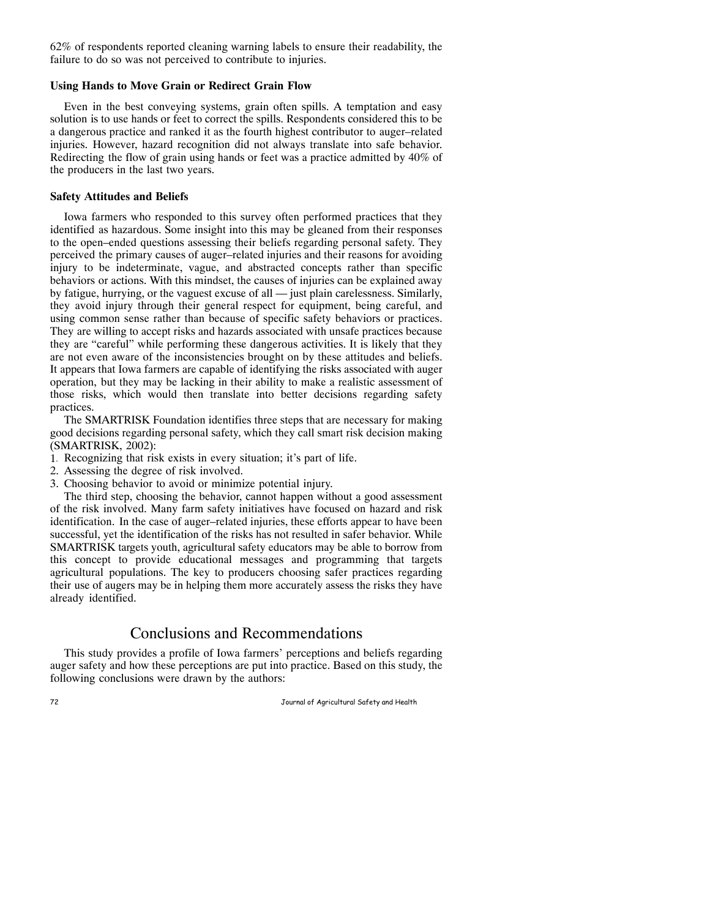62% of respondents reported cleaning warning labels to ensure their readability, the failure to do so was not perceived to contribute to injuries.

#### **Using Hands to Move Grain or Redirect Grain Flow**

Even in the best conveying systems, grain often spills. A temptation and easy solution is to use hands or feet to correct the spills. Respondents considered this to be a dangerous practice and ranked it as the fourth highest contributor to auger–related injuries. However, hazard recognition did not always translate into safe behavior. Redirecting the flow of grain using hands or feet was a practice admitted by 40% of the producers in the last two years.

### **Safety Attitudes and Beliefs**

Iowa farmers who responded to this survey often performed practices that they identified as hazardous. Some insight into this may be gleaned from their responses to the open–ended questions assessing their beliefs regarding personal safety. They perceived the primary causes of auger–related injuries and their reasons for avoiding injury to be indeterminate, vague, and abstracted concepts rather than specific behaviors or actions. With this mindset, the causes of injuries can be explained away by fatigue, hurrying, or the vaguest excuse of all — just plain carelessness. Similarly, they avoid injury through their general respect for equipment, being careful, and using common sense rather than because of specific safety behaviors or practices. They are willing to accept risks and hazards associated with unsafe practices because they are "careful" while performing these dangerous activities. It is likely that they are not even aware of the inconsistencies brought on by these attitudes and beliefs. It appears that Iowa farmers are capable of identifying the risks associated with auger operation, but they may be lacking in their ability to make a realistic assessment of those risks, which would then translate into better decisions regarding safety practices.

The SMARTRISK Foundation identifies three steps that are necessary for making good decisions regarding personal safety, which they call smart risk decision making (SMARTRISK, 2002):

- 1. Recognizing that risk exists in every situation; it's part of life.
- 2. Assessing the degree of risk involved.
- 3. Choosing behavior to avoid or minimize potential injury.

The third step, choosing the behavior, cannot happen without a good assessment of the risk involved. Many farm safety initiatives have focused on hazard and risk identification. In the case of auger–related injuries, these efforts appear to have been successful, yet the identification of the risks has not resulted in safer behavior. While SMARTRISK targets youth, agricultural safety educators may be able to borrow from this concept to provide educational messages and programming that targets agricultural populations. The key to producers choosing safer practices regarding their use of augers may be in helping them more accurately assess the risks they have already identified.

# Conclusions and Recommendations

This study provides a profile of Iowa farmers' perceptions and beliefs regarding auger safety and how these perceptions are put into practice. Based on this study, the following conclusions were drawn by the authors: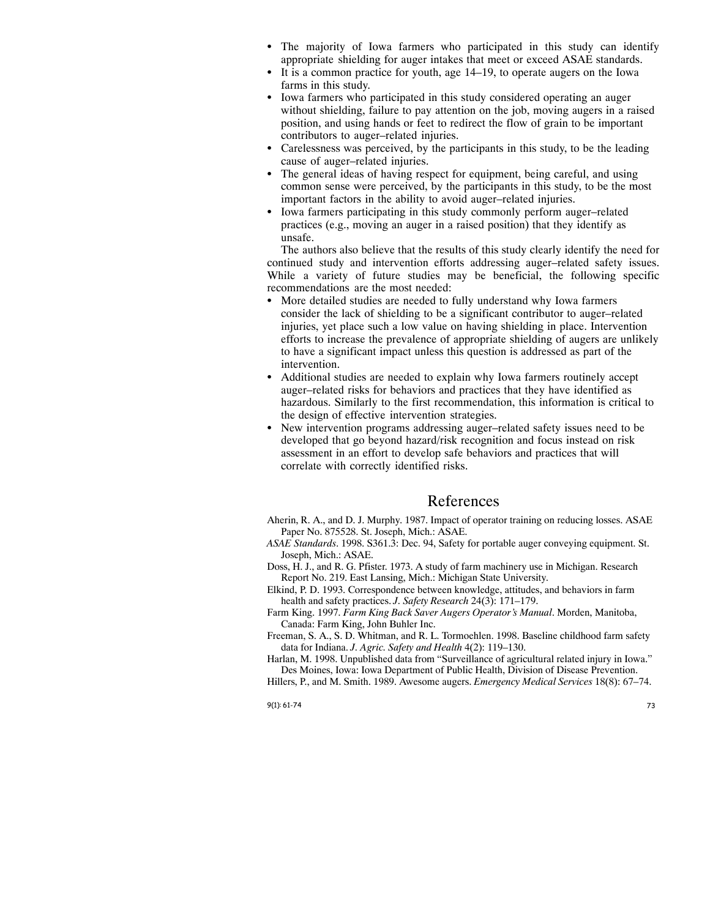- The majority of Iowa farmers who participated in this study can identify appropriate shielding for auger intakes that meet or exceed ASAE standards.
- - It is a common practice for youth, age 14–19, to operate augers on the Iowa farms in this study.
- - Iowa farmers who participated in this study considered operating an auger without shielding, failure to pay attention on the job, moving augers in a raised position, and using hands or feet to redirect the flow of grain to be important contributors to auger–related injuries.
- Carelessness was perceived, by the participants in this study, to be the leading cause of auger–related injuries.
- - The general ideas of having respect for equipment, being careful, and using common sense were perceived, by the participants in this study, to be the most important factors in the ability to avoid auger–related injuries.
- Iowa farmers participating in this study commonly perform auger–related practices (e.g., moving an auger in a raised position) that they identify as unsafe.

The authors also believe that the results of this study clearly identify the need for continued study and intervention efforts addressing auger–related safety issues. While a variety of future studies may be beneficial, the following specific recommendations are the most needed:

- More detailed studies are needed to fully understand why Iowa farmers consider the lack of shielding to be a significant contributor to auger–related injuries, yet place such a low value on having shielding in place. Intervention efforts to increase the prevalence of appropriate shielding of augers are unlikely to have a significant impact unless this question is addressed as part of the intervention.
- Additional studies are needed to explain why Iowa farmers routinely accept auger–related risks for behaviors and practices that they have identified as hazardous. Similarly to the first recommendation, this information is critical to the design of effective intervention strategies.
- - New intervention programs addressing auger–related safety issues need to be developed that go beyond hazard/risk recognition and focus instead on risk assessment in an effort to develop safe behaviors and practices that will correlate with correctly identified risks.

# References

- Aherin, R. A., and D. J. Murphy. 1987. Impact of operator training on reducing losses. ASAE Paper No. 875528. St. Joseph, Mich.: ASAE.
- *ASAE Standards*. 1998. S361.3: Dec. 94, Safety for portable auger conveying equipment. St. Joseph, Mich.: ASAE.
- Doss, H. J., and R. G. Pfister. 1973. A study of farm machinery use in Michigan. Research Report No. 219. East Lansing, Mich.: Michigan State University.
- Elkind, P. D. 1993. Correspondence between knowledge, attitudes, and behaviors in farm health and safety practices. *J. Safety Research* 24(3): 171–179.

Farm King. 1997. *Farm King Back Saver Augers Operator's Manual*. Morden, Manitoba, Canada: Farm King, John Buhler Inc.

- Freeman, S. A., S. D. Whitman, and R. L. Tormoehlen. 1998. Baseline childhood farm safety data for Indiana. *J. Agric. Safety and Health* 4(2): 119–130.
- Harlan, M. 1998. Unpublished data from "Surveillance of agricultural related injury in Iowa." Des Moines, Iowa: Iowa Department of Public Health, Division of Disease Prevention.
- Hillers, P., and M. Smith. 1989. Awesome augers. *Emergency Medical Services* 18(8): 67–74.